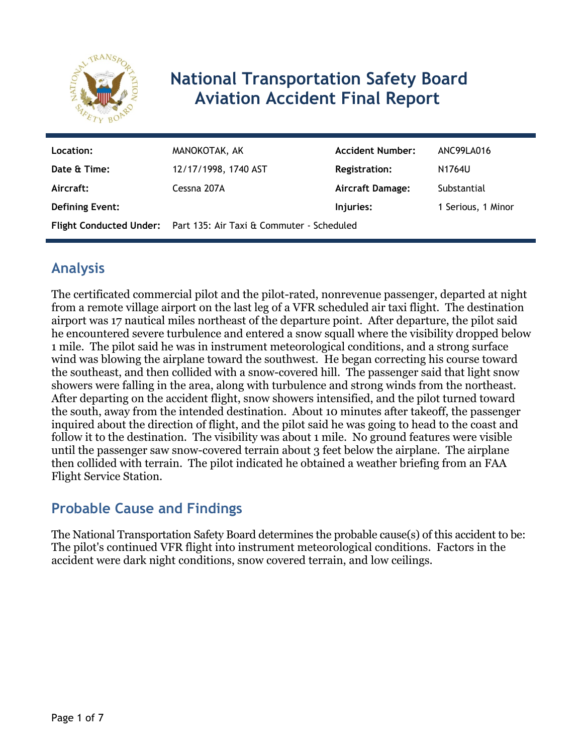

# **National Transportation Safety Board Aviation Accident Final Report**

| Location:       | MANOKOTAK, AK                                                     | <b>Accident Number:</b> | ANC99LA016         |
|-----------------|-------------------------------------------------------------------|-------------------------|--------------------|
| Date & Time:    | 12/17/1998, 1740 AST                                              | <b>Registration:</b>    | N1764U             |
| Aircraft:       | Cessna 207A                                                       | <b>Aircraft Damage:</b> | Substantial        |
| Defining Event: |                                                                   | Injuries:               | 1 Serious, 1 Minor |
|                 | Flight Conducted Under: Part 135: Air Taxi & Commuter - Scheduled |                         |                    |

# **Analysis**

The certificated commercial pilot and the pilot-rated, nonrevenue passenger, departed at night from a remote village airport on the last leg of a VFR scheduled air taxi flight. The destination airport was 17 nautical miles northeast of the departure point. After departure, the pilot said he encountered severe turbulence and entered a snow squall where the visibility dropped below 1 mile. The pilot said he was in instrument meteorological conditions, and a strong surface wind was blowing the airplane toward the southwest. He began correcting his course toward the southeast, and then collided with a snow-covered hill. The passenger said that light snow showers were falling in the area, along with turbulence and strong winds from the northeast. After departing on the accident flight, snow showers intensified, and the pilot turned toward the south, away from the intended destination. About 10 minutes after takeoff, the passenger inquired about the direction of flight, and the pilot said he was going to head to the coast and follow it to the destination. The visibility was about 1 mile. No ground features were visible until the passenger saw snow-covered terrain about 3 feet below the airplane. The airplane then collided with terrain. The pilot indicated he obtained a weather briefing from an FAA Flight Service Station.

## **Probable Cause and Findings**

The National Transportation Safety Board determines the probable cause(s) of this accident to be: The pilot's continued VFR flight into instrument meteorological conditions. Factors in the accident were dark night conditions, snow covered terrain, and low ceilings.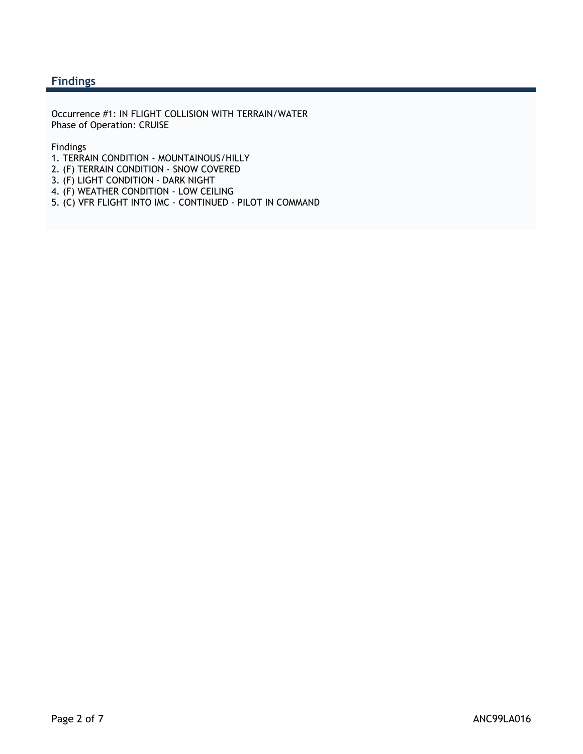#### **Findings**

Occurrence #1: IN FLIGHT COLLISION WITH TERRAIN/WATER Phase of Operation: CRUISE

Findings

- 1. TERRAIN CONDITION MOUNTAINOUS/HILLY
- 2. (F) TERRAIN CONDITION SNOW COVERED
- 3. (F) LIGHT CONDITION DARK NIGHT
- 4. (F) WEATHER CONDITION LOW CEILING
- 5. (C) VFR FLIGHT INTO IMC CONTINUED PILOT IN COMMAND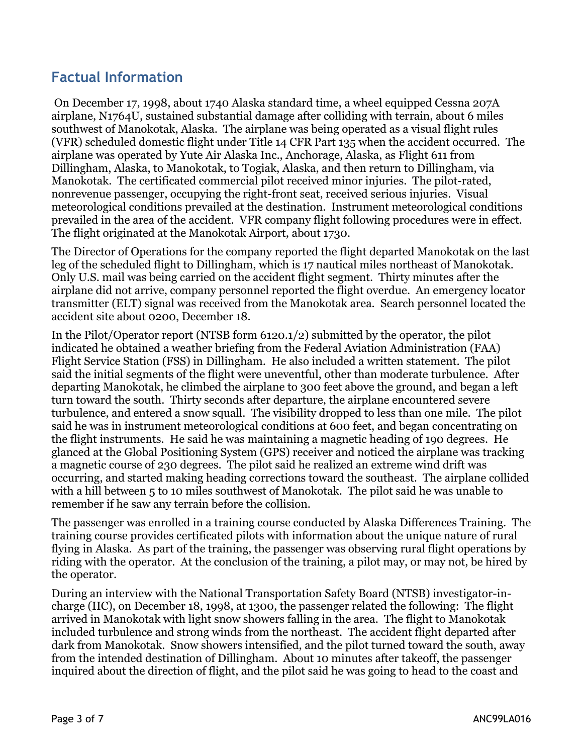### **Factual Information**

 On December 17, 1998, about 1740 Alaska standard time, a wheel equipped Cessna 207A airplane, N1764U, sustained substantial damage after colliding with terrain, about 6 miles southwest of Manokotak, Alaska. The airplane was being operated as a visual flight rules (VFR) scheduled domestic flight under Title 14 CFR Part 135 when the accident occurred. The airplane was operated by Yute Air Alaska Inc., Anchorage, Alaska, as Flight 611 from Dillingham, Alaska, to Manokotak, to Togiak, Alaska, and then return to Dillingham, via Manokotak. The certificated commercial pilot received minor injuries. The pilot-rated, nonrevenue passenger, occupying the right-front seat, received serious injuries. Visual meteorological conditions prevailed at the destination. Instrument meteorological conditions prevailed in the area of the accident. VFR company flight following procedures were in effect. The flight originated at the Manokotak Airport, about 1730.

The Director of Operations for the company reported the flight departed Manokotak on the last leg of the scheduled flight to Dillingham, which is 17 nautical miles northeast of Manokotak. Only U.S. mail was being carried on the accident flight segment. Thirty minutes after the airplane did not arrive, company personnel reported the flight overdue. An emergency locator transmitter (ELT) signal was received from the Manokotak area. Search personnel located the accident site about 0200, December 18.

In the Pilot/Operator report (NTSB form 6120.1/2) submitted by the operator, the pilot indicated he obtained a weather briefing from the Federal Aviation Administration (FAA) Flight Service Station (FSS) in Dillingham. He also included a written statement. The pilot said the initial segments of the flight were uneventful, other than moderate turbulence. After departing Manokotak, he climbed the airplane to 300 feet above the ground, and began a left turn toward the south. Thirty seconds after departure, the airplane encountered severe turbulence, and entered a snow squall. The visibility dropped to less than one mile. The pilot said he was in instrument meteorological conditions at 600 feet, and began concentrating on the flight instruments. He said he was maintaining a magnetic heading of 190 degrees. He glanced at the Global Positioning System (GPS) receiver and noticed the airplane was tracking a magnetic course of 230 degrees. The pilot said he realized an extreme wind drift was occurring, and started making heading corrections toward the southeast. The airplane collided with a hill between 5 to 10 miles southwest of Manokotak. The pilot said he was unable to remember if he saw any terrain before the collision.

The passenger was enrolled in a training course conducted by Alaska Differences Training. The training course provides certificated pilots with information about the unique nature of rural flying in Alaska. As part of the training, the passenger was observing rural flight operations by riding with the operator. At the conclusion of the training, a pilot may, or may not, be hired by the operator.

During an interview with the National Transportation Safety Board (NTSB) investigator-incharge (IIC), on December 18, 1998, at 1300, the passenger related the following: The flight arrived in Manokotak with light snow showers falling in the area. The flight to Manokotak included turbulence and strong winds from the northeast. The accident flight departed after dark from Manokotak. Snow showers intensified, and the pilot turned toward the south, away from the intended destination of Dillingham. About 10 minutes after takeoff, the passenger inquired about the direction of flight, and the pilot said he was going to head to the coast and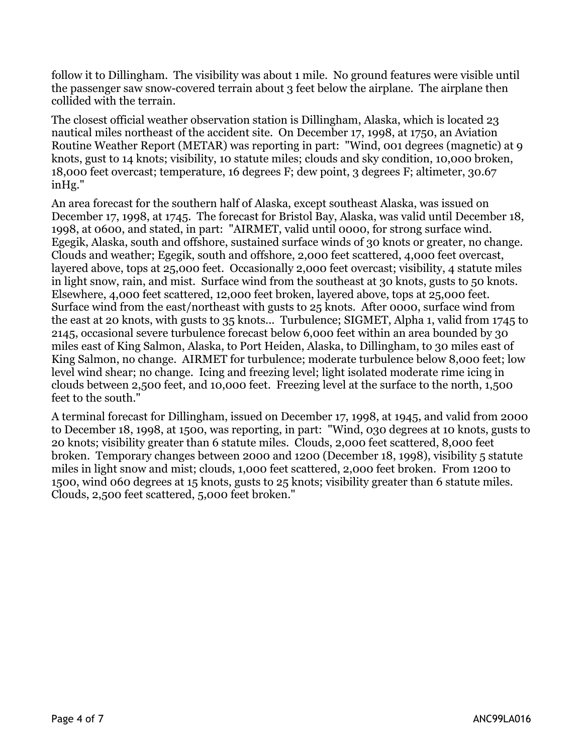follow it to Dillingham. The visibility was about 1 mile. No ground features were visible until the passenger saw snow-covered terrain about 3 feet below the airplane. The airplane then collided with the terrain.

The closest official weather observation station is Dillingham, Alaska, which is located 23 nautical miles northeast of the accident site. On December 17, 1998, at 1750, an Aviation Routine Weather Report (METAR) was reporting in part: "Wind, 001 degrees (magnetic) at 9 knots, gust to 14 knots; visibility, 10 statute miles; clouds and sky condition, 10,000 broken, 18,000 feet overcast; temperature, 16 degrees F; dew point, 3 degrees F; altimeter, 30.67 inHg."

An area forecast for the southern half of Alaska, except southeast Alaska, was issued on December 17, 1998, at 1745. The forecast for Bristol Bay, Alaska, was valid until December 18, 1998, at 0600, and stated, in part: "AIRMET, valid until 0000, for strong surface wind. Egegik, Alaska, south and offshore, sustained surface winds of 30 knots or greater, no change. Clouds and weather; Egegik, south and offshore, 2,000 feet scattered, 4,000 feet overcast, layered above, tops at 25,000 feet. Occasionally 2,000 feet overcast; visibility, 4 statute miles in light snow, rain, and mist. Surface wind from the southeast at 30 knots, gusts to 50 knots. Elsewhere, 4,000 feet scattered, 12,000 feet broken, layered above, tops at 25,000 feet. Surface wind from the east/northeast with gusts to 25 knots. After 0000, surface wind from the east at 20 knots, with gusts to 35 knots... Turbulence; SIGMET, Alpha 1, valid from 1745 to 2145, occasional severe turbulence forecast below 6,000 feet within an area bounded by 30 miles east of King Salmon, Alaska, to Port Heiden, Alaska, to Dillingham, to 30 miles east of King Salmon, no change. AIRMET for turbulence; moderate turbulence below 8,000 feet; low level wind shear; no change. Icing and freezing level; light isolated moderate rime icing in clouds between 2,500 feet, and 10,000 feet. Freezing level at the surface to the north, 1,500 feet to the south."

A terminal forecast for Dillingham, issued on December 17, 1998, at 1945, and valid from 2000 to December 18, 1998, at 1500, was reporting, in part: "Wind, 030 degrees at 10 knots, gusts to 20 knots; visibility greater than 6 statute miles. Clouds, 2,000 feet scattered, 8,000 feet broken. Temporary changes between 2000 and 1200 (December 18, 1998), visibility 5 statute miles in light snow and mist; clouds, 1,000 feet scattered, 2,000 feet broken. From 1200 to 1500, wind 060 degrees at 15 knots, gusts to 25 knots; visibility greater than 6 statute miles. Clouds, 2,500 feet scattered, 5,000 feet broken."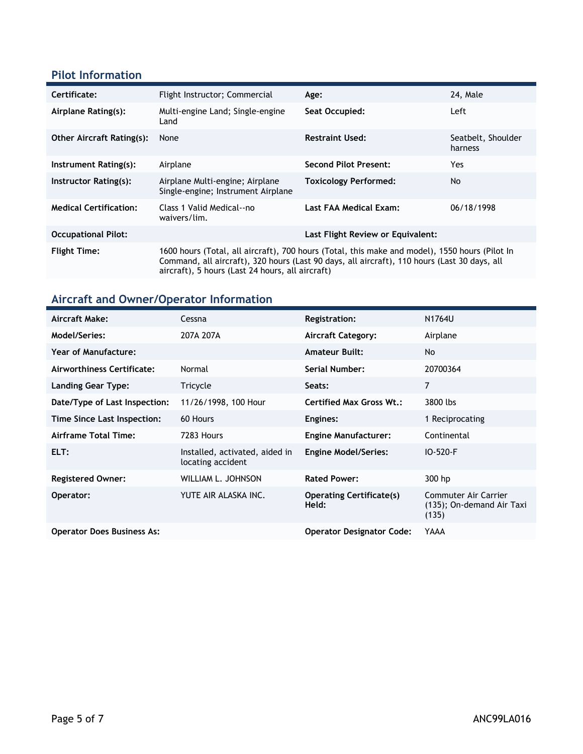#### **Pilot Information**

| Certificate:                     | Flight Instructor; Commercial                                                                                                                                                                                                                      | Age:                              | 24, Male                      |
|----------------------------------|----------------------------------------------------------------------------------------------------------------------------------------------------------------------------------------------------------------------------------------------------|-----------------------------------|-------------------------------|
| Airplane Rating(s):              | Multi-engine Land; Single-engine<br>Land                                                                                                                                                                                                           | Seat Occupied:                    | Left                          |
| <b>Other Aircraft Rating(s):</b> | None                                                                                                                                                                                                                                               | <b>Restraint Used:</b>            | Seatbelt, Shoulder<br>harness |
| Instrument Rating(s):            | Airplane                                                                                                                                                                                                                                           | <b>Second Pilot Present:</b>      | Yes.                          |
| Instructor Rating(s):            | Airplane Multi-engine; Airplane<br>Single-engine; Instrument Airplane                                                                                                                                                                              | <b>Toxicology Performed:</b>      | No                            |
| <b>Medical Certification:</b>    | Class 1 Valid Medical--no<br>waivers/lim.                                                                                                                                                                                                          | Last FAA Medical Exam:            | 06/18/1998                    |
| <b>Occupational Pilot:</b>       |                                                                                                                                                                                                                                                    | Last Flight Review or Equivalent: |                               |
| <b>Flight Time:</b>              | 1600 hours (Total, all aircraft), 700 hours (Total, this make and model), 1550 hours (Pilot In<br>Command, all aircraft), 320 hours (Last 90 days, all aircraft), 110 hours (Last 30 days, all<br>aircraft), 5 hours (Last 24 hours, all aircraft) |                                   |                               |

### **Aircraft and Owner/Operator Information**

| Aircraft Make:                    | Cessna                                              | <b>Registration:</b>                     | N1764U                                                     |
|-----------------------------------|-----------------------------------------------------|------------------------------------------|------------------------------------------------------------|
| Model/Series:                     | 207A 207A                                           | <b>Aircraft Category:</b>                | Airplane                                                   |
| <b>Year of Manufacture:</b>       |                                                     | <b>Amateur Built:</b>                    | No                                                         |
| Airworthiness Certificate:        | Normal                                              | Serial Number:                           | 20700364                                                   |
| Landing Gear Type:                | Tricycle                                            | Seats:                                   | $\overline{7}$                                             |
| Date/Type of Last Inspection:     | 11/26/1998, 100 Hour                                | <b>Certified Max Gross Wt.:</b>          | 3800 lbs                                                   |
| Time Since Last Inspection:       | 60 Hours                                            | Engines:                                 | 1 Reciprocating                                            |
| Airframe Total Time:              | 7283 Hours                                          | <b>Engine Manufacturer:</b>              | Continental                                                |
| ELT:                              | Installed, activated, aided in<br>locating accident | <b>Engine Model/Series:</b>              | IO-520-F                                                   |
| <b>Registered Owner:</b>          | WILLIAM L. JOHNSON                                  | <b>Rated Power:</b>                      | 300 hp                                                     |
| Operator:                         | YUTE AIR ALASKA INC.                                | <b>Operating Certificate(s)</b><br>Held: | Commuter Air Carrier<br>(135); On-demand Air Taxi<br>(135) |
| <b>Operator Does Business As:</b> |                                                     | <b>Operator Designator Code:</b>         | YAAA                                                       |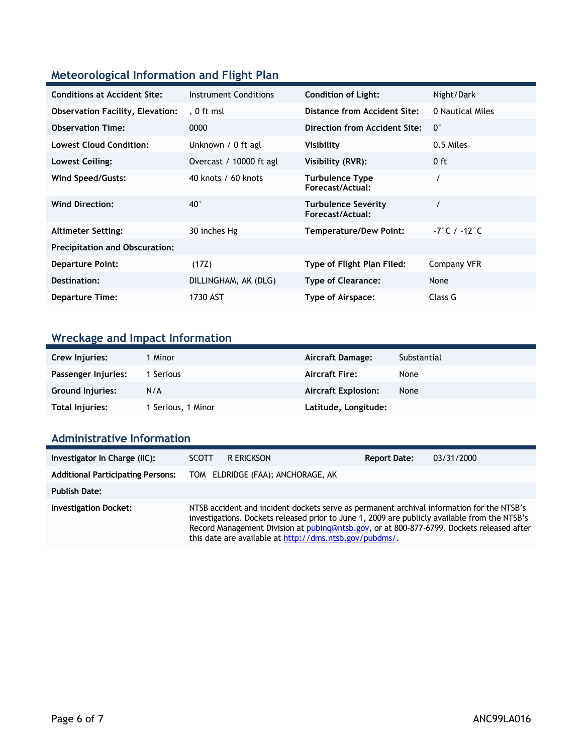### **Meteorological Information and Flight Plan**

| <b>Conditions at Accident Site:</b>     | Instrument Conditions   | <b>Condition of Light:</b>                     | Night/Dark                   |
|-----------------------------------------|-------------------------|------------------------------------------------|------------------------------|
| <b>Observation Facility, Elevation:</b> | . 0 ft msl              | Distance from Accident Site:                   | 0 Nautical Miles             |
| <b>Observation Time:</b>                | 0000                    | <b>Direction from Accident Site:</b>           | $0^{\circ}$                  |
| <b>Lowest Cloud Condition:</b>          | Unknown / 0 ft agl      | Visibility                                     | 0.5 Miles                    |
| Lowest Ceiling:                         | Overcast / 10000 ft agl | Visibility (RVR):                              | $0$ ft                       |
| <b>Wind Speed/Gusts:</b>                | 40 knots / 60 knots     | <b>Turbulence Type</b><br>Forecast/Actual:     |                              |
| <b>Wind Direction:</b>                  | $40^{\circ}$            | <b>Turbulence Severity</b><br>Forecast/Actual: |                              |
| <b>Altimeter Setting:</b>               | 30 inches Hg            | <b>Temperature/Dew Point:</b>                  | $-7^\circ$ C / $-12^\circ$ C |
| <b>Precipitation and Obscuration:</b>   |                         |                                                |                              |
| <b>Departure Point:</b>                 | (17Z)                   | Type of Flight Plan Filed:                     | Company VFR                  |
| Destination:                            | DILLINGHAM, AK (DLG)    | <b>Type of Clearance:</b>                      | None                         |
| <b>Departure Time:</b>                  | 1730 AST                | Type of Airspace:                              | Class G                      |

# **Wreckage and Impact Information**

| Crew Injuries:          | 1 Minor            | Aircraft Damage:           | Substantial |
|-------------------------|--------------------|----------------------------|-------------|
| Passenger Injuries:     | Serious            | <b>Aircraft Fire:</b>      | None        |
| <b>Ground Injuries:</b> | N/A                | <b>Aircraft Explosion:</b> | None        |
| Total Injuries:         | 1 Serious, 1 Minor | Latitude, Longitude:       |             |

### **Administrative Information**

| Investigator In Charge (IIC):            | SCOTT.                                                                                                                                                                                                                                                                                                                                             | R ERICKSON                        | <b>Report Date:</b> | 03/31/2000 |
|------------------------------------------|----------------------------------------------------------------------------------------------------------------------------------------------------------------------------------------------------------------------------------------------------------------------------------------------------------------------------------------------------|-----------------------------------|---------------------|------------|
| <b>Additional Participating Persons:</b> |                                                                                                                                                                                                                                                                                                                                                    | TOM ELDRIDGE (FAA); ANCHORAGE, AK |                     |            |
| <b>Publish Date:</b>                     |                                                                                                                                                                                                                                                                                                                                                    |                                   |                     |            |
| <b>Investigation Docket:</b>             | NTSB accident and incident dockets serve as permanent archival information for the NTSB's<br>investigations. Dockets released prior to June 1, 2009 are publicly available from the NTSB's<br>Record Management Division at pubing@ntsb.gov, or at 800-877-6799. Dockets released after<br>this date are available at http://dms.ntsb.gov/pubdms/. |                                   |                     |            |